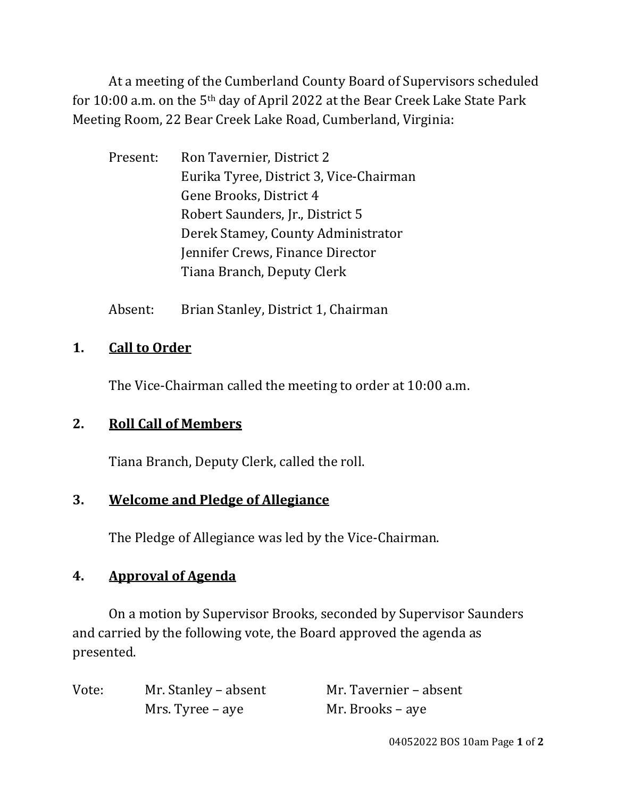At a meeting of the Cumberland County Board of Supervisors scheduled for 10:00 a.m. on the 5th day of April 2022 at the Bear Creek Lake State Park Meeting Room, 22 Bear Creek Lake Road, Cumberland, Virginia:

- Present: Ron Tavernier, District 2 Eurika Tyree, District 3, Vice-Chairman Gene Brooks, District 4 Robert Saunders, Jr., District 5 Derek Stamey, County Administrator Jennifer Crews, Finance Director Tiana Branch, Deputy Clerk
- Absent: Brian Stanley, District 1, Chairman

# **1. Call to Order**

The Vice-Chairman called the meeting to order at 10:00 a.m.

### **2. Roll Call of Members**

Tiana Branch, Deputy Clerk, called the roll.

### **3. Welcome and Pledge of Allegiance**

The Pledge of Allegiance was led by the Vice-Chairman.

### **4. Approval of Agenda**

On a motion by Supervisor Brooks, seconded by Supervisor Saunders and carried by the following vote, the Board approved the agenda as presented.

| Vote: | Mr. Stanley – absent | Mr. Tavernier – absent |
|-------|----------------------|------------------------|
|       | Mrs. Tyree – aye     | Mr. Brooks – aye       |